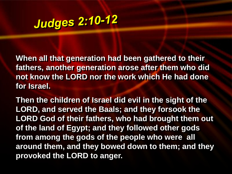#### **Judges 2:10-12**

**When all that generation had been gathered to their fathers, another generation arose after them who did not know the LORD nor the work which He had done for Israel.**

**Then the children of Israel did evil in the sight of the LORD, and served the Baals; and they forsook the LORD God of their fathers, who had brought them out of the land of Egypt; and they followed other gods from among the gods of the people who were all around them, and they bowed down to them; and they provoked the LORD to anger.**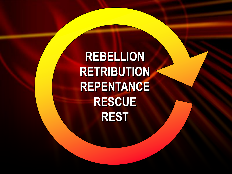**REBELLION RETRIBUTION REPENTANCE RESCUE REST**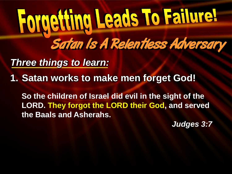*Three things to learn:*

**1. Satan works to make men forget God!** 

**So the children of Israel did evil in the sight of the LORD. They forgot the LORD their God, and served the Baals and Asherahs.**

*Judges 3:7*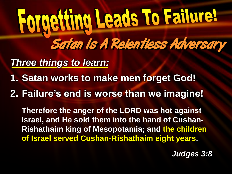*Three things to learn:*

- **1. Satan works to make men forget God!**
- **2. Failure's end is worse than we imagine!**

**Therefore the anger of the LORD was hot against Israel, and He sold them into the hand of Cushan-Rishathaim king of Mesopotamia; and the children of Israel served Cushan-Rishathaim eight years.**

*Judges 3:8*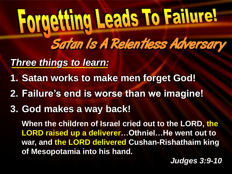*Three things to learn:*

- **1. Satan works to make men forget God!**
- **2. Failure's end is worse than we imagine!**
- **3. God makes a way back!**

**When the children of Israel cried out to the LORD, the LORD raised up a deliverer…Othniel…He went out to war, and the LORD delivered Cushan-Rishathaim king of Mesopotamia into his hand.**

*Judges 3:9-10*